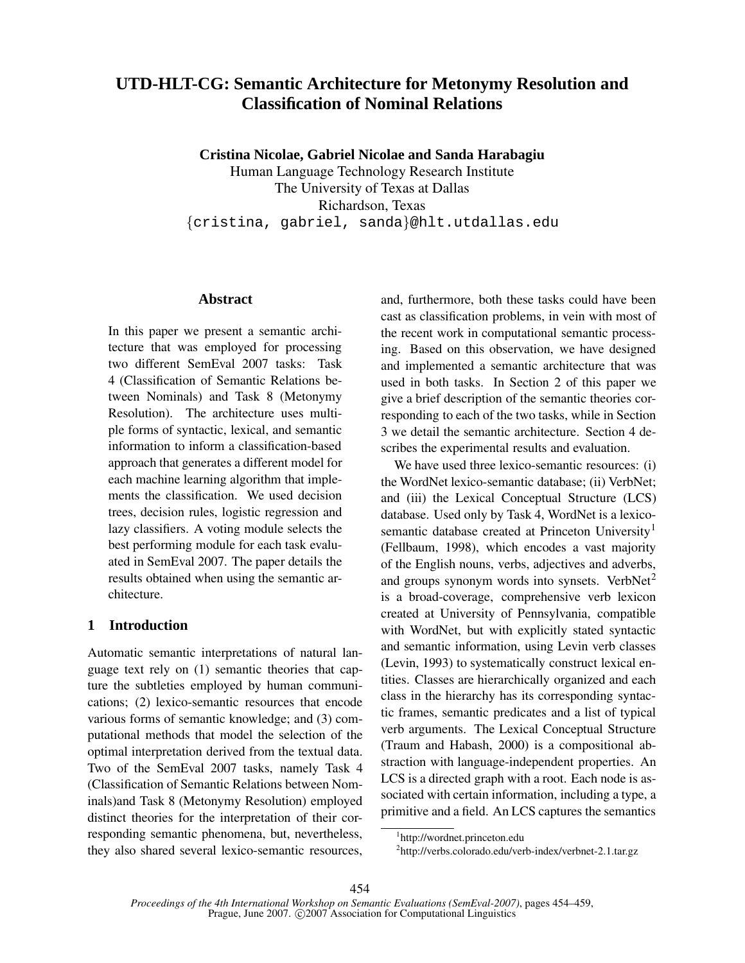# **UTD-HLT-CG: Semantic Architecture for Metonymy Resolution and Classification of Nominal Relations**

**Cristina Nicolae, Gabriel Nicolae and Sanda Harabagiu**

Human Language Technology Research Institute The University of Texas at Dallas Richardson, Texas {cristina, gabriel, sanda}@hlt.utdallas.edu

### **Abstract**

In this paper we present a semantic architecture that was employed for processing two different SemEval 2007 tasks: Task 4 (Classification of Semantic Relations between Nominals) and Task 8 (Metonymy Resolution). The architecture uses multiple forms of syntactic, lexical, and semantic information to inform a classification-based approach that generates a different model for each machine learning algorithm that implements the classification. We used decision trees, decision rules, logistic regression and lazy classifiers. A voting module selects the best performing module for each task evaluated in SemEval 2007. The paper details the results obtained when using the semantic architecture.

# **1 Introduction**

Automatic semantic interpretations of natural language text rely on (1) semantic theories that capture the subtleties employed by human communications; (2) lexico-semantic resources that encode various forms of semantic knowledge; and (3) computational methods that model the selection of the optimal interpretation derived from the textual data. Two of the SemEval 2007 tasks, namely Task 4 (Classification of Semantic Relations between Nominals)and Task 8 (Metonymy Resolution) employed distinct theories for the interpretation of their corresponding semantic phenomena, but, nevertheless, they also shared several lexico-semantic resources,

and, furthermore, both these tasks could have been cast as classification problems, in vein with most of the recent work in computational semantic processing. Based on this observation, we have designed and implemented a semantic architecture that was used in both tasks. In Section 2 of this paper we give a brief description of the semantic theories corresponding to each of the two tasks, while in Section 3 we detail the semantic architecture. Section 4 describes the experimental results and evaluation.

We have used three lexico-semantic resources: (i) the WordNet lexico-semantic database; (ii) VerbNet; and (iii) the Lexical Conceptual Structure (LCS) database. Used only by Task 4, WordNet is a lexicosemantic database created at Princeton University<sup>1</sup> (Fellbaum, 1998), which encodes a vast majority of the English nouns, verbs, adjectives and adverbs, and groups synonym words into synsets. Verb $Net<sup>2</sup>$ is a broad-coverage, comprehensive verb lexicon created at University of Pennsylvania, compatible with WordNet, but with explicitly stated syntactic and semantic information, using Levin verb classes (Levin, 1993) to systematically construct lexical entities. Classes are hierarchically organized and each class in the hierarchy has its corresponding syntactic frames, semantic predicates and a list of typical verb arguments. The Lexical Conceptual Structure (Traum and Habash, 2000) is a compositional abstraction with language-independent properties. An LCS is a directed graph with a root. Each node is associated with certain information, including a type, a primitive and a field. An LCS captures the semantics

<sup>1</sup> http://wordnet.princeton.edu

<sup>&</sup>lt;sup>2</sup>http://verbs.colorado.edu/verb-index/verbnet-2.1.tar.gz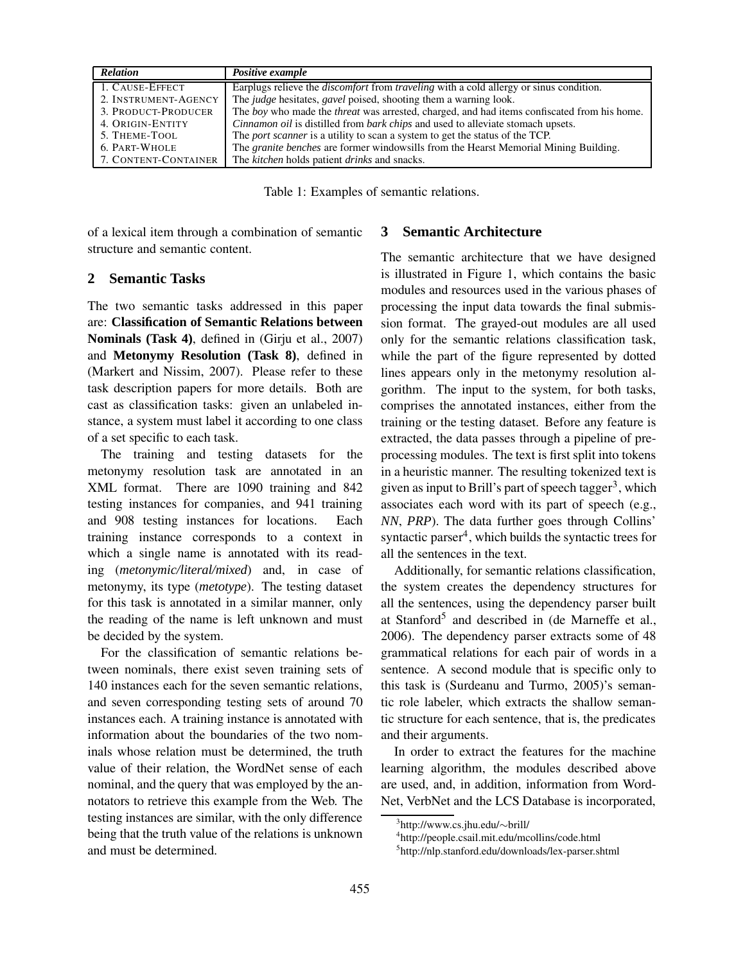| <b>Relation</b>      | Positive example                                                                                     |
|----------------------|------------------------------------------------------------------------------------------------------|
| 1. CAUSE-EFFECT      | Earplugs relieve the <i>discomfort</i> from <i>traveling</i> with a cold allergy or sinus condition. |
| 2. INSTRUMENT-AGENCY | The judge hesitates, gavel poised, shooting them a warning look.                                     |
| 3. PRODUCT-PRODUCER  | The boy who made the <i>threat</i> was arrested, charged, and had items confiscated from his home.   |
| 4. ORIGIN-ENTITY     | Cinnamon oil is distilled from bark chips and used to alleviate stomach upsets.                      |
| 5. THEME-TOOL        | The <i>port scanner</i> is a utility to scan a system to get the status of the TCP.                  |
| 6. PART-WHOLE        | The <i>granite benches</i> are former windowsills from the Hearst Memorial Mining Building.          |
| 7. CONTENT-CONTAINER | The kitchen holds patient drinks and snacks.                                                         |

Table 1: Examples of semantic relations.

of a lexical item through a combination of semantic structure and semantic content.

#### **2 Semantic Tasks**

The two semantic tasks addressed in this paper are: **Classification of Semantic Relations between Nominals (Task 4)**, defined in (Girju et al., 2007) and **Metonymy Resolution (Task 8)**, defined in (Markert and Nissim, 2007). Please refer to these task description papers for more details. Both are cast as classification tasks: given an unlabeled instance, a system must label it according to one class of a set specific to each task.

The training and testing datasets for the metonymy resolution task are annotated in an XML format. There are 1090 training and 842 testing instances for companies, and 941 training and 908 testing instances for locations. Each training instance corresponds to a context in which a single name is annotated with its reading (*metonymic/literal/mixed*) and, in case of metonymy, its type (*metotype*). The testing dataset for this task is annotated in a similar manner, only the reading of the name is left unknown and must be decided by the system.

For the classification of semantic relations between nominals, there exist seven training sets of 140 instances each for the seven semantic relations, and seven corresponding testing sets of around 70 instances each. A training instance is annotated with information about the boundaries of the two nominals whose relation must be determined, the truth value of their relation, the WordNet sense of each nominal, and the query that was employed by the annotators to retrieve this example from the Web. The testing instances are similar, with the only difference being that the truth value of the relations is unknown and must be determined.

#### **3 Semantic Architecture**

The semantic architecture that we have designed is illustrated in Figure 1, which contains the basic modules and resources used in the various phases of processing the input data towards the final submission format. The grayed-out modules are all used only for the semantic relations classification task, while the part of the figure represented by dotted lines appears only in the metonymy resolution algorithm. The input to the system, for both tasks, comprises the annotated instances, either from the training or the testing dataset. Before any feature is extracted, the data passes through a pipeline of preprocessing modules. The text is first split into tokens in a heuristic manner. The resulting tokenized text is given as input to Brill's part of speech tagger<sup>3</sup>, which associates each word with its part of speech (e.g., *NN*, *PRP*). The data further goes through Collins' syntactic parser<sup>4</sup>, which builds the syntactic trees for all the sentences in the text.

Additionally, for semantic relations classification, the system creates the dependency structures for all the sentences, using the dependency parser built at Stanford<sup>5</sup> and described in (de Marneffe et al., 2006). The dependency parser extracts some of 48 grammatical relations for each pair of words in a sentence. A second module that is specific only to this task is (Surdeanu and Turmo, 2005)'s semantic role labeler, which extracts the shallow semantic structure for each sentence, that is, the predicates and their arguments.

In order to extract the features for the machine learning algorithm, the modules described above are used, and, in addition, information from Word-Net, VerbNet and the LCS Database is incorporated,

<sup>3</sup> http://www.cs.jhu.edu/∼brill/

<sup>4</sup> http://people.csail.mit.edu/mcollins/code.html

<sup>5</sup> http://nlp.stanford.edu/downloads/lex-parser.shtml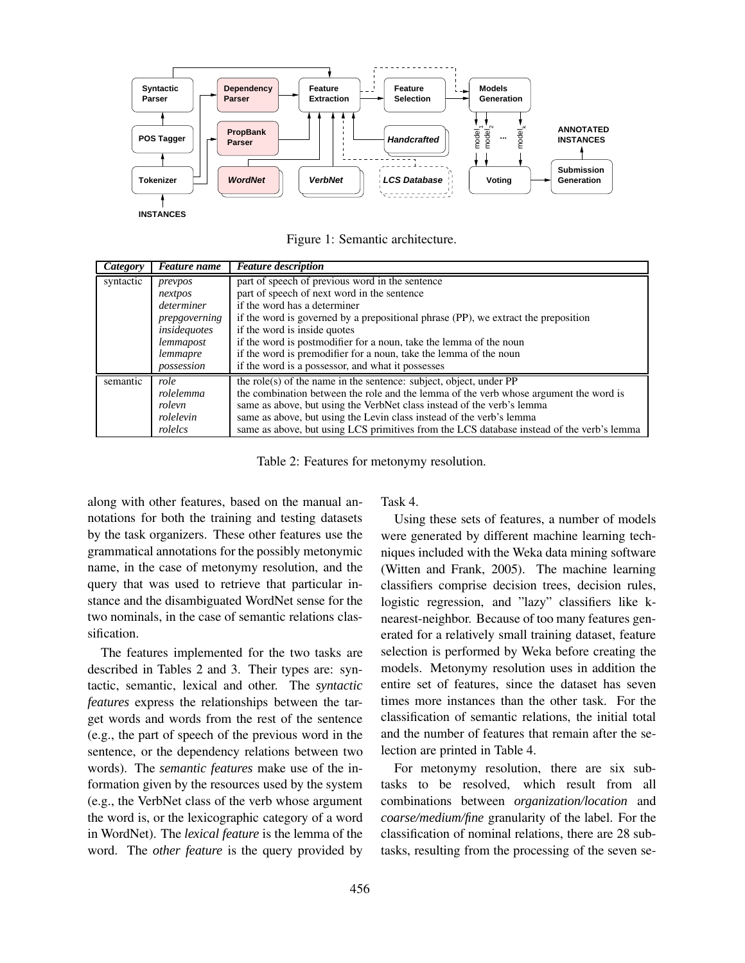

**INSTANCES**

Figure 1: Semantic architecture.

| Category  | Feature name  | <b>Feature description</b>                                                                |  |  |  |  |
|-----------|---------------|-------------------------------------------------------------------------------------------|--|--|--|--|
| syntactic | prevpos       | part of speech of previous word in the sentence                                           |  |  |  |  |
|           | nextpos       | part of speech of next word in the sentence                                               |  |  |  |  |
|           | determiner    | if the word has a determiner                                                              |  |  |  |  |
|           | prepgoverning | if the word is governed by a prepositional phrase (PP), we extract the preposition        |  |  |  |  |
|           | insidequotes  | if the word is inside quotes                                                              |  |  |  |  |
|           | lemmapost     | if the word is postmodifier for a noun, take the lemma of the noun                        |  |  |  |  |
|           | lemmapre      | if the word is premodifier for a noun, take the lemma of the noun                         |  |  |  |  |
|           | possession    | if the word is a possessor, and what it possesses                                         |  |  |  |  |
| semantic  | role          | the role(s) of the name in the sentence: subject, object, under $PP$                      |  |  |  |  |
|           | rolelemma     | the combination between the role and the lemma of the verb whose argument the word is     |  |  |  |  |
|           | rolevn        | same as above, but using the VerbNet class instead of the verb's lemma                    |  |  |  |  |
|           | rolelevin     | same as above, but using the Levin class instead of the verb's lemma                      |  |  |  |  |
|           | rolelcs       | same as above, but using LCS primitives from the LCS database instead of the verb's lemma |  |  |  |  |

Table 2: Features for metonymy resolution.

along with other features, based on the manual annotations for both the training and testing datasets by the task organizers. These other features use the grammatical annotations for the possibly metonymic name, in the case of metonymy resolution, and the query that was used to retrieve that particular instance and the disambiguated WordNet sense for the two nominals, in the case of semantic relations classification.

The features implemented for the two tasks are described in Tables 2 and 3. Their types are: syntactic, semantic, lexical and other. The *syntactic features* express the relationships between the target words and words from the rest of the sentence (e.g., the part of speech of the previous word in the sentence, or the dependency relations between two words). The *semantic features* make use of the information given by the resources used by the system (e.g., the VerbNet class of the verb whose argument the word is, or the lexicographic category of a word in WordNet). The *lexical feature* is the lemma of the word. The *other feature* is the query provided by Task 4.

Using these sets of features, a number of models were generated by different machine learning techniques included with the Weka data mining software (Witten and Frank, 2005). The machine learning classifiers comprise decision trees, decision rules, logistic regression, and "lazy" classifiers like knearest-neighbor. Because of too many features generated for a relatively small training dataset, feature selection is performed by Weka before creating the models. Metonymy resolution uses in addition the entire set of features, since the dataset has seven times more instances than the other task. For the classification of semantic relations, the initial total and the number of features that remain after the selection are printed in Table 4.

For metonymy resolution, there are six subtasks to be resolved, which result from all combinations between *organization/location* and *coarse/medium/fine* granularity of the label. For the classification of nominal relations, there are 28 subtasks, resulting from the processing of the seven se-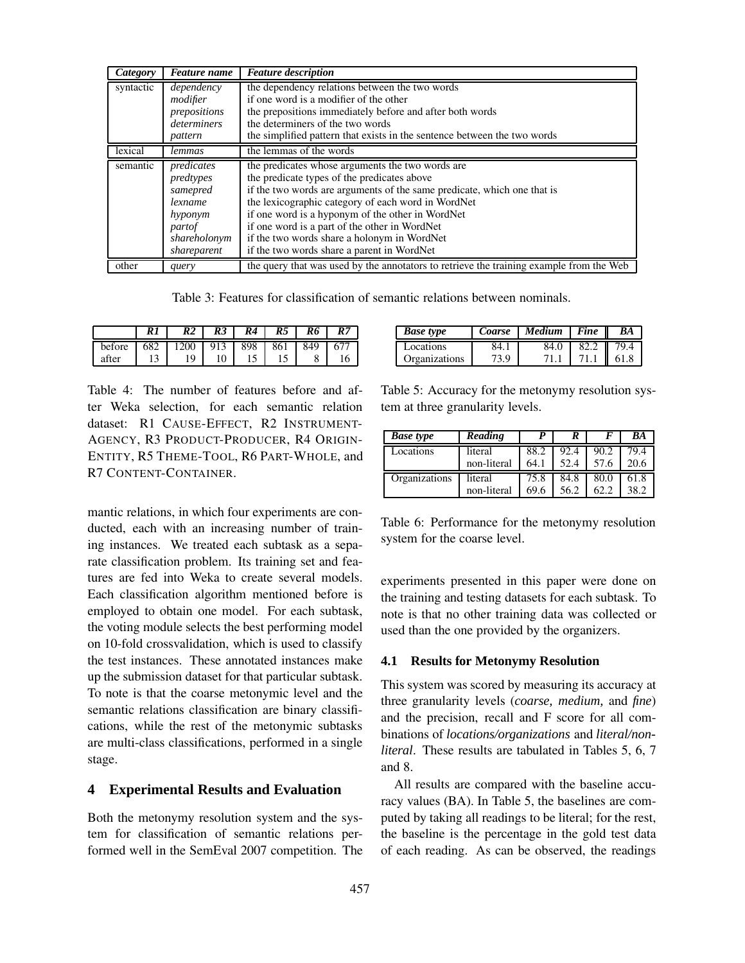| Category  | <b>Feature</b> name | <b>Feature description</b>                                                              |
|-----------|---------------------|-----------------------------------------------------------------------------------------|
| syntactic | dependency          | the dependency relations between the two words                                          |
|           | modifier            | if one word is a modifier of the other                                                  |
|           | prepositions        | the prepositions immediately before and after both words                                |
|           | determiners         | the determiners of the two words                                                        |
|           | pattern             | the simplified pattern that exists in the sentence between the two words                |
| lexical   | lemmas              | the lemmas of the words                                                                 |
| semantic  | predicates          | the predicates whose arguments the two words are                                        |
|           | predtypes           | the predicate types of the predicates above                                             |
|           | samepred            | if the two words are arguments of the same predicate, which one that is                 |
|           | lexname             | the lexicographic category of each word in WordNet                                      |
|           | hyponym             | if one word is a hyponym of the other in WordNet                                        |
|           | partof              | if one word is a part of the other in WordNet                                           |
|           | shareholonym        | if the two words share a holonym in WordNet                                             |
|           | shareparent         | if the two words share a parent in WordNet                                              |
| other     | query               | the query that was used by the annotators to retrieve the training example from the Web |

Table 3: Features for classification of semantic relations between nominals.

|        | R1 | R2                     | R3 | R4 | R5 <sub>1</sub> | R6 | <b>R7</b> |
|--------|----|------------------------|----|----|-----------------|----|-----------|
| before |    | 682   1200   913   898 |    |    | 861 849         |    | 671       |
| after  | 13 | 19                     |    |    |                 |    |           |

Table 4: The number of features before and after Weka selection, for each semantic relation dataset: R1 CAUSE-EFFECT, R2 INSTRUMENT-AGENCY, R3 PRODUCT-PRODUCER, R4 ORIGIN-ENTITY, R5 THEME-TOOL, R6 PART-WHOLE, and R7 CONTENT-CONTAINER.

mantic relations, in which four experiments are conducted, each with an increasing number of training instances. We treated each subtask as a separate classification problem. Its training set and features are fed into Weka to create several models. Each classification algorithm mentioned before is employed to obtain one model. For each subtask, the voting module selects the best performing model on 10-fold crossvalidation, which is used to classify the test instances. These annotated instances make up the submission dataset for that particular subtask. To note is that the coarse metonymic level and the semantic relations classification are binary classifications, while the rest of the metonymic subtasks are multi-class classifications, performed in a single stage.

#### **4 Experimental Results and Evaluation**

Both the metonymy resolution system and the system for classification of semantic relations performed well in the SemEval 2007 competition. The

| <b>Base type</b> | Coarse | Medium | Fine | BA   |
|------------------|--------|--------|------|------|
| Locations        | 84. I  | 84.0   | 82.2 | 79.4 |
| Organizations    | 73.9   |        |      | 61.8 |

Table 5: Accuracy for the metonymy resolution system at three granularity levels.

| <b>Base type</b> | Reading     |      |      |      | BA   |
|------------------|-------------|------|------|------|------|
| Locations        | literal     | 88.2 | 92.4 | 90.2 | 79.4 |
|                  | non-literal | 64.1 | 52.4 | 57.6 | 20.6 |
| Organizations    | literal     | 75.8 | 84.8 | 80.0 | 61.8 |
|                  | non-literal | 69.6 | 56.2 |      | 38.2 |

Table 6: Performance for the metonymy resolution system for the coarse level.

experiments presented in this paper were done on the training and testing datasets for each subtask. To note is that no other training data was collected or used than the one provided by the organizers.

#### **4.1 Results for Metonymy Resolution**

This system was scored by measuring its accuracy at three granularity levels (*coarse, medium,* and *fine*) and the precision, recall and F score for all combinations of *locations/organizations* and *literal/nonliteral*. These results are tabulated in Tables 5, 6, 7 and 8.

All results are compared with the baseline accuracy values (BA). In Table 5, the baselines are computed by taking all readings to be literal; for the rest, the baseline is the percentage in the gold test data of each reading. As can be observed, the readings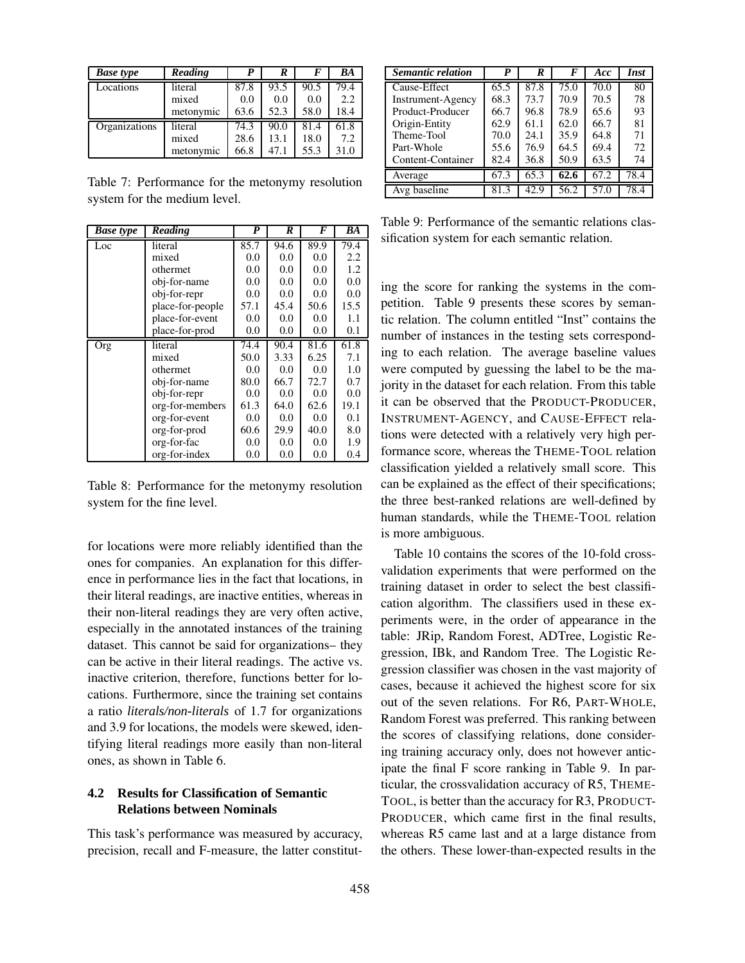| <b>Base type</b> | Reading   | P    | R    |      | BA   |
|------------------|-----------|------|------|------|------|
| Locations        | literal   | 87.8 | 93.5 | 90.5 | 79.4 |
|                  | mixed     | 0.0  | 0.0  | 0.0  | 2.2  |
|                  | metonymic | 63.6 | 52.3 | 58.0 | 18.4 |
| Organizations    | literal   | 74.3 | 90.0 | 81.4 | 61.8 |
|                  | mixed     | 28.6 | 13.1 | 18.0 | 7.2  |
|                  | metonymic | 66.8 | 47.1 | 55.3 | 31.0 |

Table 7: Performance for the metonymy resolution system for the medium level.

| <b>Base type</b> | Reading          | P    | R       | F    | BA   |
|------------------|------------------|------|---------|------|------|
| Loc              | literal          | 85.7 | 94.6    | 89.9 | 79.4 |
|                  | mixed            | 0.0  | 0.0     | 0.0  | 2.2  |
|                  | othermet         | 0.0  | 0.0     | 0.0  | 1.2  |
|                  | obj-for-name     | 0.0  | 0.0     | 0.0  | 0.0  |
|                  | obj-for-repr     | 0.0  | 0.0     | 0.0  | 0.0  |
|                  | place-for-people | 57.1 | 45.4    | 50.6 | 15.5 |
|                  | place-for-event  | 0.0  | 0.0     | 0.0  | 1.1  |
|                  | place-for-prod   | 0.0  | 0.0     | 0.0  | 0.1  |
| Org              | literal          | 74.4 | 90.4    | 81.6 | 61.8 |
|                  | mixed            | 50.0 | 3.33    | 6.25 | 7.1  |
|                  | othermet         | 0.0  | 0.0     | 0.0  | 1.0  |
|                  | obj-for-name     | 80.0 | 66.7    | 72.7 | 0.7  |
|                  | obj-for-repr     | 0.0  | 0.0     | 0.0  | 0.0  |
|                  | org-for-members  | 61.3 | 64.0    | 62.6 | 19.1 |
|                  | org-for-event    | 0.0  | 0.0     | 0.0  | 0.1  |
|                  | org-for-prod     | 60.6 | 29.9    | 40.0 | 8.0  |
|                  | org-for-fac      | 0.0  | 0.0     | 0.0  | 1.9  |
|                  | org-for-index    | 0.0  | $0.0\,$ | 0.0  | 0.4  |

Table 8: Performance for the metonymy resolution system for the fine level.

for locations were more reliably identified than the ones for companies. An explanation for this difference in performance lies in the fact that locations, in their literal readings, are inactive entities, whereas in their non-literal readings they are very often active, especially in the annotated instances of the training dataset. This cannot be said for organizations– they can be active in their literal readings. The active vs. inactive criterion, therefore, functions better for locations. Furthermore, since the training set contains a ratio *literals/non-literals* of 1.7 for organizations and 3.9 for locations, the models were skewed, identifying literal readings more easily than non-literal ones, as shown in Table 6.

# **4.2 Results for Classification of Semantic Relations between Nominals**

This task's performance was measured by accuracy, precision, recall and F-measure, the latter constitut-

| <b>Semantic relation</b> | P    | R    | F    | Acc  | Inst |
|--------------------------|------|------|------|------|------|
| Cause-Effect             | 65.5 | 87.8 | 75.0 | 70.0 | 80   |
| Instrument-Agency        | 68.3 | 73.7 | 70.9 | 70.5 | 78   |
| Product-Producer         | 66.7 | 96.8 | 78.9 | 65.6 | 93   |
| Origin-Entity            | 62.9 | 61.1 | 62.0 | 66.7 | 81   |
| Theme-Tool               | 70.0 | 24.1 | 35.9 | 64.8 | 71   |
| Part-Whole               | 55.6 | 76.9 | 64.5 | 69.4 | 72   |
| Content-Container        | 82.4 | 36.8 | 50.9 | 63.5 | 74   |
| Average                  | 67.3 | 65.3 | 62.6 | 67.2 | 78.4 |
| Avg baseline             | 81.3 | 42.9 | 56.2 | 57.0 | 78.4 |

Table 9: Performance of the semantic relations classification system for each semantic relation.

ing the score for ranking the systems in the competition. Table 9 presents these scores by semantic relation. The column entitled "Inst" contains the number of instances in the testing sets corresponding to each relation. The average baseline values were computed by guessing the label to be the majority in the dataset for each relation. From this table it can be observed that the PRODUCT-PRODUCER, INSTRUMENT-AGENCY, and CAUSE-EFFECT relations were detected with a relatively very high performance score, whereas the THEME-TOOL relation classification yielded a relatively small score. This can be explained as the effect of their specifications; the three best-ranked relations are well-defined by human standards, while the THEME-TOOL relation is more ambiguous.

Table 10 contains the scores of the 10-fold crossvalidation experiments that were performed on the training dataset in order to select the best classification algorithm. The classifiers used in these experiments were, in the order of appearance in the table: JRip, Random Forest, ADTree, Logistic Regression, IBk, and Random Tree. The Logistic Regression classifier was chosen in the vast majority of cases, because it achieved the highest score for six out of the seven relations. For R6, PART-WHOLE, Random Forest was preferred. This ranking between the scores of classifying relations, done considering training accuracy only, does not however anticipate the final F score ranking in Table 9. In particular, the crossvalidation accuracy of R5, THEME-TOOL, is better than the accuracy for R3, PRODUCT-PRODUCER, which came first in the final results, whereas R5 came last and at a large distance from the others. These lower-than-expected results in the